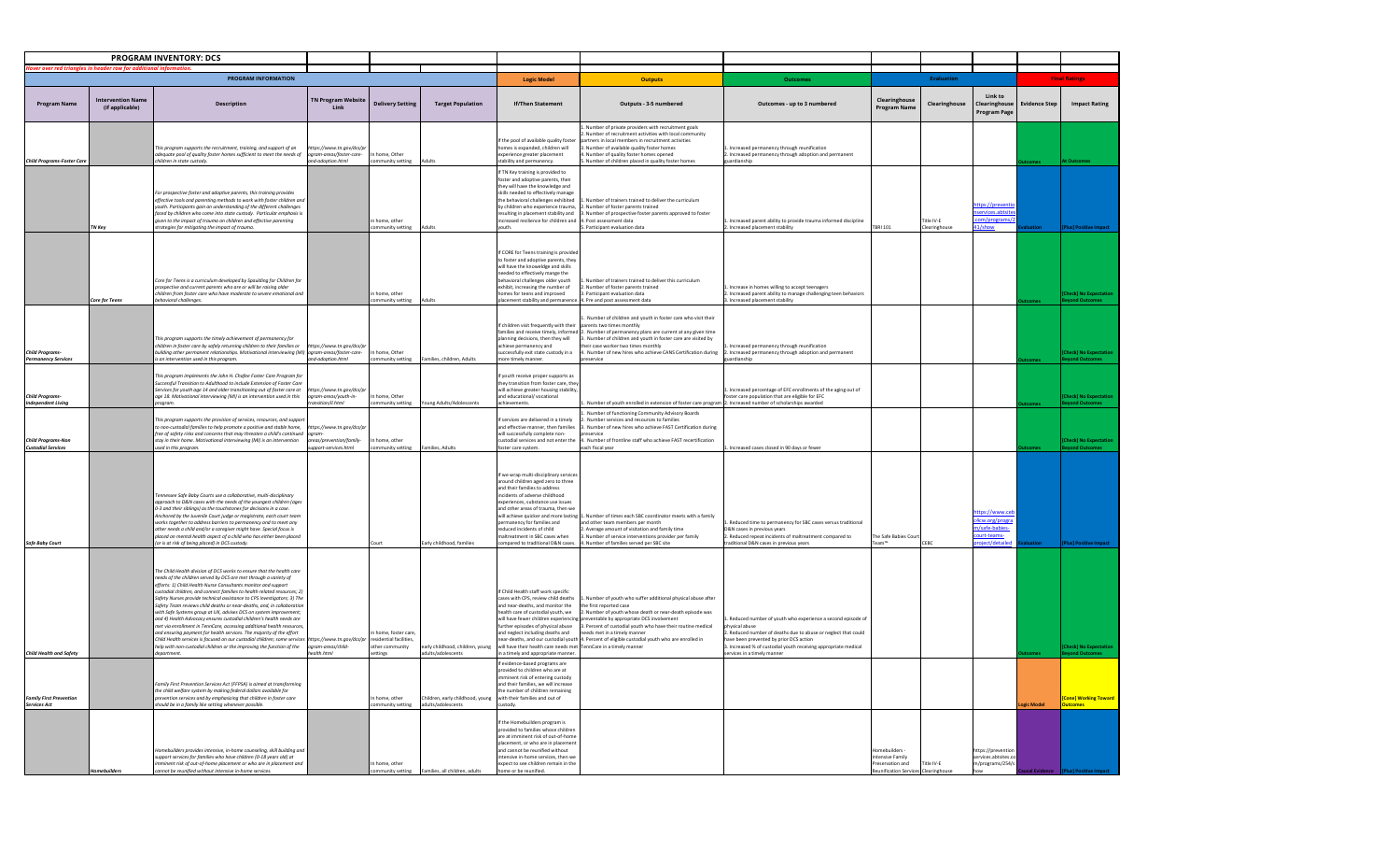| PROGRAM INVENTORY: DCS                                |                                             |                                                                                                                                                                                                                                                                                                                                                                                                                                                                                                                                                                                                                                                                                                                                                                                                                                                                                                                                                                  |                                                                                      |                                                   |                                                        |                                                                                                                                                                                                                                                                                                                                                                                                       |                                                                                                                                                                                                                                                                                                                                                                                                   |                                                                                                                                                                                                                                                                                        |                                                                                                     |                             |                                                                   |                      |                       |
|-------------------------------------------------------|---------------------------------------------|------------------------------------------------------------------------------------------------------------------------------------------------------------------------------------------------------------------------------------------------------------------------------------------------------------------------------------------------------------------------------------------------------------------------------------------------------------------------------------------------------------------------------------------------------------------------------------------------------------------------------------------------------------------------------------------------------------------------------------------------------------------------------------------------------------------------------------------------------------------------------------------------------------------------------------------------------------------|--------------------------------------------------------------------------------------|---------------------------------------------------|--------------------------------------------------------|-------------------------------------------------------------------------------------------------------------------------------------------------------------------------------------------------------------------------------------------------------------------------------------------------------------------------------------------------------------------------------------------------------|---------------------------------------------------------------------------------------------------------------------------------------------------------------------------------------------------------------------------------------------------------------------------------------------------------------------------------------------------------------------------------------------------|----------------------------------------------------------------------------------------------------------------------------------------------------------------------------------------------------------------------------------------------------------------------------------------|-----------------------------------------------------------------------------------------------------|-----------------------------|-------------------------------------------------------------------|----------------------|-----------------------|
| er over red triangles in header row for add           |                                             |                                                                                                                                                                                                                                                                                                                                                                                                                                                                                                                                                                                                                                                                                                                                                                                                                                                                                                                                                                  |                                                                                      |                                                   |                                                        |                                                                                                                                                                                                                                                                                                                                                                                                       |                                                                                                                                                                                                                                                                                                                                                                                                   |                                                                                                                                                                                                                                                                                        |                                                                                                     |                             |                                                                   |                      |                       |
|                                                       |                                             | PROGRAM INFORMATION                                                                                                                                                                                                                                                                                                                                                                                                                                                                                                                                                                                                                                                                                                                                                                                                                                                                                                                                              |                                                                                      |                                                   |                                                        | <b>Logic Model</b>                                                                                                                                                                                                                                                                                                                                                                                    | <b>Outputs</b>                                                                                                                                                                                                                                                                                                                                                                                    |                                                                                                                                                                                                                                                                                        |                                                                                                     | <b>Evaluation</b>           |                                                                   |                      | <b>Final Ratings</b>  |
| <b>Program Name</b>                                   | <b>Intervention Name</b><br>(if applicable) | <b>Description</b>                                                                                                                                                                                                                                                                                                                                                                                                                                                                                                                                                                                                                                                                                                                                                                                                                                                                                                                                               | <b>TN Program Website</b><br>Link                                                    | <b>Delivery Setting</b>                           | <b>Target Population</b>                               | <b>If/Then Statement</b>                                                                                                                                                                                                                                                                                                                                                                              | Outputs - 3-5 numbered                                                                                                                                                                                                                                                                                                                                                                            | Outcomes - up to 3 numbered                                                                                                                                                                                                                                                            | Clearinghouse<br>Program Name                                                                       | Clearinghouse               | Link to<br><b>Clearinghouse</b><br>Program Page                   | <b>Evidence Step</b> | <b>Impact Rating</b>  |
| Child Programs-Foster Care                            |                                             | This program supports the recruitment, training, and support of an<br>adequate pool of quality foster homes sufficient to meet the needs of<br>hildren in state custody.                                                                                                                                                                                                                                                                                                                                                                                                                                                                                                                                                                                                                                                                                                                                                                                         | ttps://www.tn.gov/dcs/p<br>ogram-areas/foster-care-<br>nd-adoption.html              | home, Other<br>ommunity setting                   | Adults                                                 | If the pool of available quality foster<br>homes is expanded, children will<br>experience greater placement<br>ability and permanency.                                                                                                                                                                                                                                                                | . Number of private providers with recruitment goals<br>. Number of recruitment activities with local community<br>artners in local members in recruitment activities<br>3. Number of available quality foster homes<br>. Number of quality foster homes opened<br>Number of children placed in quality foster homes                                                                              | Increased permanency through reunification<br>. Increased permanency through adoption and permanent<br><b>Jardianship</b>                                                                                                                                                              |                                                                                                     |                             |                                                                   |                      |                       |
|                                                       | <b>TN Key</b>                               | For prospective foster and adoptive parents, this training provides<br>effective tools and parenting methods to work with foster children and<br>outh. Participants gain an understanding of the different challenges<br>faced by children who come into state custody. Particular emphasis is<br>given to the impact of trauma on children and effective parenting<br>strategies for mitigating the impact of trauma                                                                                                                                                                                                                                                                                                                                                                                                                                                                                                                                            |                                                                                      | home, other<br>mmunity setting                    | Adults                                                 | If TN Key training is provided to<br>foster and adoptive parents, then<br>they will have the knowledge and<br>skills needed to effectively manage<br>the behavioral challenges exhibited<br>by children who experience trauma,<br>esulting in placement stability and<br>creased resilience for children and 4. Post assessment data<br>outh.                                                         | 1. Number of trainers trained to deliver the curriculum<br>2. Number of foster parents trained<br>3. Number of prospective foster parents approved to foste<br>5. Participant evaluation data                                                                                                                                                                                                     | Increased parent ability to provide trauma informed discipline<br>. Increased placement stability                                                                                                                                                                                      | <b>TBRI 101</b>                                                                                     | Title IV-E<br>Clearinghouse | tps://preven<br>services.abtsit<br>:om/programs/<br>/show         |                      |                       |
|                                                       | <b>Core for Teens</b>                       | Core for Teens is a curriculum developed by Spaulding for Children for<br>prospective and current parents who are or will be raising older<br>children from foster care who have moderate to severe emotional and<br>havioral challenges.                                                                                                                                                                                                                                                                                                                                                                                                                                                                                                                                                                                                                                                                                                                        |                                                                                      | home, other<br>nmunity setting                    |                                                        | If CORE for Teens training is provided<br>to foster and adoptive parents, they<br>will have the knoweldge and skills<br>needed to effectively mange the<br>behavioral challenges older vouth<br>exhibit, increasing the number of<br>omes for teens and improved<br>lacement stability and permanenc                                                                                                  | Number of trainers trained to deliver this curriculum<br>. Number of foster parents trained<br>3. Participant evaluation data<br>Pre and post assessment data                                                                                                                                                                                                                                     | . Increase in homes willing to accept teenagers<br>Increased parent ability to manage challenging teen behaviors<br>Increased placement stability                                                                                                                                      |                                                                                                     |                             |                                                                   |                      |                       |
| <b>Child Programs</b><br>rmanency Service             |                                             | This program supports the timely achievement of permanency for<br>children in foster care by safely returning children to their families or<br>building other permanent relationships. Motivational interviewing (MI) ogram-areas/foster-care-<br>is an intervention used in this program.                                                                                                                                                                                                                                                                                                                                                                                                                                                                                                                                                                                                                                                                       | ttps://www.tn.gov/dcs/p<br>nd-adoption.html                                          | n home, Other<br>mmunity setting                  | Families, children, Adults                             | f children visit frequently with their<br>lanning decisions, then they will<br>achieve permanency and<br>uccessfully exit state custody in a<br>nore timely manner                                                                                                                                                                                                                                    | Number of children and youth in foster care who visit their<br>parents two times monthly<br>amilies and receive timely, informed 2. Number of permanency plans are current at any given time<br>3. Number of children and youth in foster care are visited by<br>their case worker two times monthly<br>1. Number of new hires who achieve CANS Certification during<br>preservice                | Increased permanency through reunification<br>. Increased permanency through adoption and permanent<br><b>Jardianship</b>                                                                                                                                                              |                                                                                                     |                             |                                                                   |                      |                       |
| <b>Child Program</b><br><b>Independent Living</b>     |                                             | his program implements the John H. Chafee Foster Care Program for<br>Successful Transition to Adulthood to include Extension of Foster Care<br>Services for youth age 14 and older transitioning out of foster care at<br>age 18. Motivational interviewing (MI) is an intervention used in this<br>rogram.                                                                                                                                                                                                                                                                                                                                                                                                                                                                                                                                                                                                                                                      | https://www.tn.gov/dcs/p<br>gram-areas/youth-in-<br>ansition/il.html                 | n home, Other<br>community setting                | Young Adults/Adolescents                               | youth receive proper supports as<br>they transition from foster care, they<br>will achieve greater housing stability<br>and educational/ vocational<br>achievements.                                                                                                                                                                                                                                  | Number of youth enrolled in extension of foster care program 2. Increased number of scholarships awarded                                                                                                                                                                                                                                                                                          | . Increased percentage of EFC enrollments of the aging out of<br>oster care population that are eligible for EFC                                                                                                                                                                       |                                                                                                     |                             |                                                                   |                      |                       |
| <b>Child Programs-No</b><br><b>Custodial Services</b> |                                             | This program supports the provision of services, resources, and support<br>to non-custodial families to help promote a positive and stable home,<br>free of safety risks and concerns that may threaten a child's continued<br>stay in their home. Motivational interviewing (MI) is an intervention<br>used in this program                                                                                                                                                                                                                                                                                                                                                                                                                                                                                                                                                                                                                                     | https://www.tn.gov/dcs/p<br>ogram<br>reas/prevention/family-<br>upport-services.html | home, other<br>community setting                  | <b>Families Adults</b>                                 | If services are delivered in a timely<br>and effective manner, then families<br>will successfully complete non-<br>ustodial services and not enter the<br>foster care system.                                                                                                                                                                                                                         | Number of functioning Community Advisory Boards<br>. Number services and resources to families<br>3. Number of new hires who achieve FAST Certification during<br>preservice<br>4. Number of frontline staff who achieve FAST recertification<br>each fiscal year                                                                                                                                 | . Increased cases closed in 90 days or fewer                                                                                                                                                                                                                                           |                                                                                                     |                             |                                                                   |                      |                       |
| <b>Safe Baby Court</b>                                |                                             | "ennessee Safe Baby Courts use a collaborative, multi-disciplinary<br>approach to D&N cases with the needs of the youngest children (ages<br>0-3 and their siblings) as the touchstones for decisions in a case.<br>Anchored by the Juvenile Court judge or magistrate, each court team<br>works together to address barriers to permanency and to meet any<br>other needs a child and/or a caregiver might have. Special focus is<br>placed on mental health aspect of a child who has either been placed<br>(or is at risk of being placed) in DCS custody.                                                                                                                                                                                                                                                                                                                                                                                                    |                                                                                      |                                                   | Early childhood, families                              | If we wrap multi-disciplinary service<br>around children aged zero to three<br>and their families to address<br>incidents of adverse childhood<br>experiences, substance use issues<br>and other areas of trauma, then we<br>will achieve quicker and more lasting<br>ermanency for families and<br>reduced incidents of child<br>naltreatment in SBC cases when<br>ompared to traditional D&N cases. | 1. Number of times each SBC coordinator meets with a family<br>and other team members per month<br>. Average amount of visitation and family time<br>. Number of service interventions provider per family<br>4. Number of families served per SBC site                                                                                                                                           | Reduced time to permanency for SBC cases versus traditional<br>D&N cases in previous vears<br>Reduced repeat incidents of maltreatment compared to<br>rraditional D&N cases in previous years                                                                                          | The Safe Babies Court<br>Team™                                                                      | <b>CERC</b>                 | ttps://www.cel<br>Acw.org/progra<br>n/safe-babies-<br>ourt-teams- |                      |                       |
| <b>Child Health and Safety</b>                        |                                             | The Child Health division of DCS works to ensure that the health care<br>needs of the children served by DCS are met through a variety of<br>efforts: 1) Child Health Nurse Consultants monitor and support<br>custodial children, and connect families to health related resources: 2)<br>Safety Nurses provide technical assistance to CPS investigators; 3) The<br>Safety Team reviews child deaths or near-deaths, and, in collaboratio.<br>with Safe Systems group at UK, advises DCS on system improvement;<br>and 4) Health Advocacy ensures custodial children's health needs are<br>met via enrollment in TennCare, accessing additional health resource.<br>and ensuring payment for health services. The majority of the effort<br>Child Health services is focused on our custodial children; some services https://www.tn.gov/dcs/pr residential facilities,<br>help with non-custodial children or the improving the function of the<br>department | ogram-areas/child-<br>alth.html                                                      | n home, foster care<br>other community<br>ettings | early childhood, children, young<br>adults/adolescents | f Child Health staff work specific<br>cases with CPS, review child deaths<br>ind near-deaths, and monitor the<br>health care of custodial youth, we<br>will have fewer children experiencin<br>further episodes of physical abuse<br>and neglect including deaths and<br>will have their health care needs met TennCare in a timely manner<br>n a timely and appropriate manner                       | Number of youth who suffer additional physical abuse after<br>the first reported case<br>2. Number of youth whose death or near-death episode was<br>preventable by appropriate DCS involvement<br>3. Percent of custodial youth who have their routine medical<br>needs met in a timely manner<br>ear-deaths, and our custodial youth 4. Percent of eligible custodial youth who are enrolled in | Reduced number of youth who experience a second episode of<br>hysical abuse<br>. Reduced number of deaths due to abuse or neglect that could<br>ave been prevented by prior DCS action<br>. Increased % of custodial youth receiving appropriate medical<br>ervices in a timely manner |                                                                                                     |                             |                                                                   |                      |                       |
| <b>Family First Prevention</b><br><b>Services Act</b> |                                             | Family First Prevention Services Act (FFPSA) is aimed at transforming<br>the child welfare system by making federal dollars available for<br>vention services and by emphasizing that children in foster care<br>hould be in a family like setting whenever possible.                                                                                                                                                                                                                                                                                                                                                                                                                                                                                                                                                                                                                                                                                            |                                                                                      | n home, other<br>mmunity setting                  | Children, early childhood, young<br>adults/adolescents | f evidence-based programs are<br>provided to children who are at<br>minent risk of entering custody<br>and their families, we will increase<br>the number of children remaining<br>with their families and out of<br>ustody.                                                                                                                                                                          |                                                                                                                                                                                                                                                                                                                                                                                                   |                                                                                                                                                                                                                                                                                        |                                                                                                     |                             |                                                                   | <b>peic Mode</b>     | [Cone] Working Toward |
|                                                       |                                             | omebuilders provides intensive, in-home counseling, skill building and<br>support services for families who have children (0-18 years old) at<br>nminent risk of out-of-home placement or who are in placement and<br>innot be reunified without intensive in-home services                                                                                                                                                                                                                                                                                                                                                                                                                                                                                                                                                                                                                                                                                      |                                                                                      | In home, other<br>ommunity setting                | Families, all children, adults                         | If the Homebuilders program is<br>provided to families whose children<br>are at imminent risk of out-of-home<br>placement, or who are in placemen<br>and cannot be reunified without<br>intensive in-home services, then we<br>expect to see children remain in the<br>home or be reunified.                                                                                                          |                                                                                                                                                                                                                                                                                                                                                                                                   |                                                                                                                                                                                                                                                                                        | lomebuilders<br>Intensive Family<br>Preservation and<br><b>Reunification Services</b> Clearinghouse | Title IV-E                  | ttps://prevention<br>ervices.abtsites.o<br>m/programs/254/s       |                      |                       |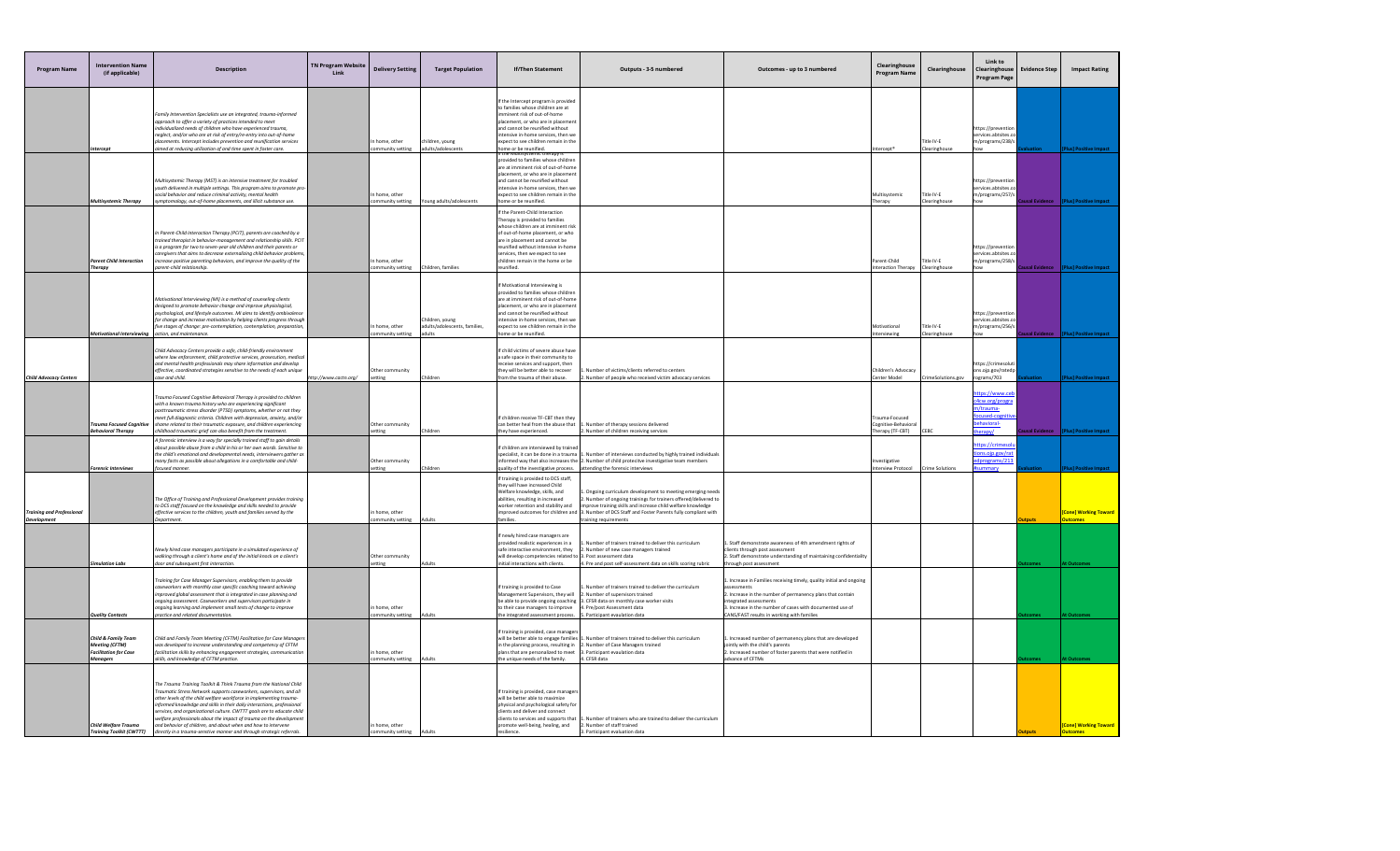| <b>Program Name</b>                           | <b>Intervention Name</b><br>(if applicable)                                                     | <b>Description</b>                                                                                                                                                                                                                                                                                                                                                                                                                                                                                                                                                                   | <b>TN Program Website</b><br>Link | <b>Delivery Setting</b>             | <b>Target Population</b>                                  | <b>If/Then Statement</b>                                                                                                                                                                                                                                                                                                    | Outputs - 3-5 numbered                                                                                                                                                                                                                                                              | Outcomes - up to 3 numbered                                                                                                                                                                                                                                                        | Clearinghouse<br><b>Program Name</b>                     | Clearinghouse               | Link to<br>Clearinghouse<br><b>Program Page</b>                                          | <b>Evidence Step</b> | <b>Impact Rating</b>               |
|-----------------------------------------------|-------------------------------------------------------------------------------------------------|--------------------------------------------------------------------------------------------------------------------------------------------------------------------------------------------------------------------------------------------------------------------------------------------------------------------------------------------------------------------------------------------------------------------------------------------------------------------------------------------------------------------------------------------------------------------------------------|-----------------------------------|-------------------------------------|-----------------------------------------------------------|-----------------------------------------------------------------------------------------------------------------------------------------------------------------------------------------------------------------------------------------------------------------------------------------------------------------------------|-------------------------------------------------------------------------------------------------------------------------------------------------------------------------------------------------------------------------------------------------------------------------------------|------------------------------------------------------------------------------------------------------------------------------------------------------------------------------------------------------------------------------------------------------------------------------------|----------------------------------------------------------|-----------------------------|------------------------------------------------------------------------------------------|----------------------|------------------------------------|
|                                               | ntercep                                                                                         | amily Intervention Specialists use an integrated, trauma-informed<br>approach to offer a variety of practices intended to meet<br>dividualized needs of children who have experienced trauma,<br>neglect, and/or who are at risk of entry/re-entry into out-of-home<br>ements. Intercept includes prevention and reunification services<br>med at reducing utilization of and time spent in foster care.                                                                                                                                                                             |                                   | In home, other<br>community setting | hildren, young<br>adults/adolescents                      | f the Intercept program is provided<br>to families whose children are at<br>iminent risk of out-of-home<br>placement, or who are in placemer<br>and cannot be reunified without<br>ntensive in-home services, then we<br>expect to see children remain in the<br>ome or be reunified.<br>rovided to families whose children |                                                                                                                                                                                                                                                                                     |                                                                                                                                                                                                                                                                                    | tercept <sup>®</sup>                                     | Title IV-E<br>Clearinghouse | https://preventio<br>services.abtsites.c<br>m/programs/238/s<br>how                      |                      |                                    |
|                                               | Multisystemic Therapy                                                                           | Aultisystemic Therapy (MST) is an intensive treatment for troubled<br>outh delivered in multiple settings. This program aims to promote pro<br>ocial behavior and reduce criminal activity, mental health<br>mptomology, out-of-home placements, and illicit substance use.                                                                                                                                                                                                                                                                                                          |                                   | In home, other<br>ommunity setting  | Young adults/adolescents                                  | are at imminent risk of out-of-home<br>placement, or who are in placemer<br>and cannot be reunified without<br>tensive in-home services, then we<br>xpect to see children remain in the<br>ome or be reunified.                                                                                                             |                                                                                                                                                                                                                                                                                     |                                                                                                                                                                                                                                                                                    | Multisystemic<br>Therapy                                 | Title IV-E<br>Clearinghouse | https://preventio<br>services.abtsites.o<br>m/programs/257/s<br>how                      |                      |                                    |
|                                               | arent Child Interaction<br>Therapy                                                              | In Parent-Child Interaction Therapy (PCIT), parents are coached by a<br>rained therapist in behavior-management and relationship skills. PCIT<br>s a program for two to seven-year old children and their parents or<br>aregivers that aims to decrease externalizing child behavior problems,<br>crease positive parenting behaviors, and improve the quality of the<br>arent-child relationship.                                                                                                                                                                                   |                                   | In home, other<br>community setting | Children, families                                        | If the Parent-Child Interaction<br>herapy is provided to families<br>whose children are at imminent risl<br>of out-of-home placement, or who<br>are in placement and cannot be<br>eunified without intensive in-hom<br>services, then we expect to see<br>children remain in the home or be<br>reunified.                   |                                                                                                                                                                                                                                                                                     |                                                                                                                                                                                                                                                                                    | arent-Child<br>nteraction Therapy Clearinghouse          | Title IV-E                  | https://preventic<br>services.abtsites.co<br>m/programs/258/s<br>how                     |                      |                                    |
|                                               | nal Interviewi                                                                                  | Motivational Interviewing (MI) is a method of counseling clients<br>designed to promote behavior change and improve physiological,<br>psychological, and lifestyle outcomes. MI aims to identify ambivalence<br>for change and increase motivation by helping clients progress through<br>five stages of change: pre-contemplation, contemplation, preparation,<br>action, and maintenance.                                                                                                                                                                                          |                                   | In home, other<br>ommunity setting  | Children, young<br>adults/adolescents, families,<br>dults | If Motivational Interviewing is<br>provided to families whose childrer<br>are at imminent risk of out-of-home<br>placement, or who are in placemen<br>and cannot be reunified without<br>ntensive in-home services, then we<br>expect to see children remain in the<br>ome or be reunified.                                 |                                                                                                                                                                                                                                                                                     |                                                                                                                                                                                                                                                                                    | <b>Aotivational</b><br>terviewing                        | Title IV-E<br>Clearinghouse | https://preventio<br>services.abtsites.c<br>m/programs/256/s                             |                      |                                    |
| <b>Child Advocacy Centers</b>                 |                                                                                                 | hild Advocacy Centers provide a safe, child-friendly environment<br>where law enforcement, child protective services, prosecution, medical<br>and mental health professionals may share information and develop<br>effective, coordinated strategies sensitive to the needs of each unique<br>ase and child.                                                                                                                                                                                                                                                                         | http://www.cactn.org/             | Other community<br>setting          | Children                                                  | f child victims of severe abuse have<br>safe space in their community to<br>eceive services and support, then<br>they will be better able to recover<br>from the trauma of their abuse.                                                                                                                                     | Number of victims/clients referred to centers<br>2. Number of people who received victim advocacy services                                                                                                                                                                          |                                                                                                                                                                                                                                                                                    | Children's Advocacy<br>Center Model                      | CrimeSolutions.gov          | https://crimesolu<br>ons.ojp.gov/rated<br>rograms/703                                    |                      |                                    |
|                                               | Trauma Focused Cognitive<br>ehavioral Therapy                                                   | Trauma Focused Cognitive Behavioral Therapy is provided to children<br>with a known trauma history who are experiencing significant<br>osttraumatic stress disorder (PTSD) symptoms, whether or not they<br>neet full diganostic criteria. Children with depression, anxiety, and/or<br>hame related to their traumatic exposure, and children experiencing<br>ildhood traumatic grief can also benefit from the treatment                                                                                                                                                           |                                   | Other community<br>etting           | hildren                                                   | If children receive TF-CBT then they<br>can better heal from the abuse that<br>they have experienced.                                                                                                                                                                                                                       | Number of therapy sessions delivered<br>Number of children receiving services                                                                                                                                                                                                       |                                                                                                                                                                                                                                                                                    | rauma-Focused<br>Cognitive-Behaviora<br>Therapy (TF-CBT) | EBC:                        | https://www.ce<br>c4cw.org/progra<br>m/trauma-<br>focused-coenit<br>ehavioral-<br>erapv/ |                      |                                    |
|                                               | <b>Forensic Interviews</b>                                                                      | A forensic interview is a way for specially trained staff to agin details<br>about possible abuse from a child in his or her own words. Sensitive to<br>the child's emotional and developmental needs, interviewers gather as<br>nany facts as possible about allegations in a comfortable and child-<br>ocused manner.                                                                                                                                                                                                                                                              |                                   | Other community<br>etting           | hildren                                                   | If children are interviewed by traine<br>specialist, it can be done in a trauma<br>juality of the investigative process.                                                                                                                                                                                                    | . Number of interviews conducted by highly trained individuals<br>nformed way that also increases the 2. Number of child protecitve investigative team members<br>attending the forensic interviews                                                                                 |                                                                                                                                                                                                                                                                                    | vestigative<br>nterview Protocol                         | <b>Crime Solutions</b>      | ttps://crimeso<br>tions.ojp.gov/rat<br>edprograms/213<br>mmary                           |                      |                                    |
| aining and Professional<br><b>Development</b> |                                                                                                 | he Office of Training and Professional Development provides training<br>to DCS staff focused on the knowledge and skills needed to provide<br>effective services to the children, youth and families served by the<br>epartment.                                                                                                                                                                                                                                                                                                                                                     |                                   | home, other<br>ommunity setting     | Adults                                                    | If training is provided to DCS staff,<br>they will have increased Child<br>Welfare knowledge, skills, and<br>abilities, resulting in increased<br>worker retention and stability and<br>nproved outcomes for children and<br>families.                                                                                      | Ongoing curriculum development to meeting emerging needs<br>Number of ongoing trainings for trainers offered/delivered to<br>mprove training skills and increase child welfare knowledge<br>3. Number of DCS Staff and Foster Parents fully compliant with<br>training requirements |                                                                                                                                                                                                                                                                                    |                                                          |                             |                                                                                          |                      | <mark>[Cone] Working Toward</mark> |
|                                               | rtion Labs                                                                                      | Newly hired case managers participate in a simulated experience of<br>valking through a client's home and of the initial knock on a client's<br>loor and subsequent first interaction.                                                                                                                                                                                                                                                                                                                                                                                               |                                   | Other community<br>setting          |                                                           | f newly hired case managers are<br>provided realistic experiences in a<br>safe interactive environment, they<br>will develop competencies related to 3. Post assessment data<br>nitial interactions with clients.                                                                                                           | Number of trainers trained to deliver this curriculum<br>. Number of new case managers trained<br>4. Pre and post self-assessment data on skills scoring rubric                                                                                                                     | . Staff demonstrate awareness of 4th amendment rights of<br>lients through post assessmen<br>2. Staff demonstrate understanding of maintaining confidentiality<br>through post assessment                                                                                          |                                                          |                             |                                                                                          |                      |                                    |
|                                               | <b>Quality Contacts</b>                                                                         | raining for Case Manager Supervisors, enabling them to provide<br>aseworkers with monthly case specific coachina toward achieving<br>mproved global assessment that is integrated in case planning and<br>ongoing assessment. Caseworkers and supervisors participate in<br>ingoing learning and implement small tests of change to improve<br>practice and related documentation.                                                                                                                                                                                                   |                                   | in home, other<br>community setting | Adults                                                    | If training is provided to Case<br>Management Supervisors, they will<br>to their case managers to improve<br>the integrated assessment process.                                                                                                                                                                             | Number of trainers trained to deliver the curriculum<br>. Number of supervisors trained<br>be able to provide ongoing coaching 3. CFSR data on monthly case worker visits<br>4. Pre/post Assessment data<br>5. Participant evaulation data                                          | Increase in Families receiving timely, quality initial and ongoing<br>ssessments<br>2. Increase in the number of permanency plans that contain<br>ntegrated assessments<br>3. Increase in the number of cases with documented use of<br>CANS/FAST results in working with families |                                                          |                             |                                                                                          |                      |                                    |
|                                               | Child & Family Team<br><b>Meeting (CFTM)</b><br><b>Facilitation for Case</b><br><b>Managers</b> | Child and Family Team Meeting (CFTM) Facilitation for Case Managers<br>vas developed to increase understanding and competency of CFTM<br>facilitation skills by enhancing engagement strategies, communication<br>skills, and knowledge of CFTM practice.                                                                                                                                                                                                                                                                                                                            |                                   | in home, other<br>ommunity setting  | Adults                                                    | If training is provided, case manage<br>will be better able to engage families<br>in the planning process, resulting in<br>plans that are personalized to meet 3. Participant evaulation data<br>the unique needs of the family.                                                                                            | Number of trainers trained to deliver this curriculum<br>2. Number of Case Managers trained<br>4. CFSR data                                                                                                                                                                         | . Increased number of permanency plans that are developed<br>ointly with the child's parents<br>2. Increased number of foster parents that were notified in<br>dvance of CFTMs                                                                                                     |                                                          |                             |                                                                                          |                      |                                    |
|                                               | <b>Child Welfare Trauma</b><br><b>Training Toolkit (CWTTT)</b>                                  | The Trauma Training Toolkit & Think Trauma from the National Child<br>raumatic Stress Network supports caseworkers, supervisors, and all<br>other levels of the child welfare workforce in implementing trauma-<br>informed knowledge and skills in their daily interactions, professional<br>ervices, and organizational culture. CWTTT goals are to educate child<br>velfare professionals about the impact of trauma on the development<br>and behavior of children, and about when and how to intervene<br>directly in a trauma-senstive manner and through strategic referrals. |                                   | in home, other<br>community setting | Adults                                                    | f training is provided, case manager<br>will be better able to maximize<br>hysical and psychological safety fo<br>clients and deliver and connect<br>clients to services and supports that<br>promote well-being, healing, and<br>eaneilien                                                                                 | Number of trainers who are trained to deliver the curriculum<br>2. Number of staff trained<br>3 Particinant evaluation data                                                                                                                                                         |                                                                                                                                                                                                                                                                                    |                                                          |                             |                                                                                          |                      | <b>[Cone] Working Toward</b>       |